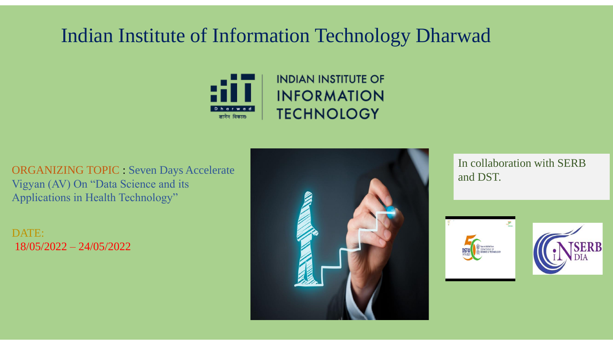# Indian Institute of Information Technology Dharwad



ORGANIZING TOPIC : Seven Days Accelerate Vigyan (AV) On "Data Science and its Applications in Health Technology"

DATE: 18/05/2022 – 24/05/2022



In collaboration with SERB and DST.



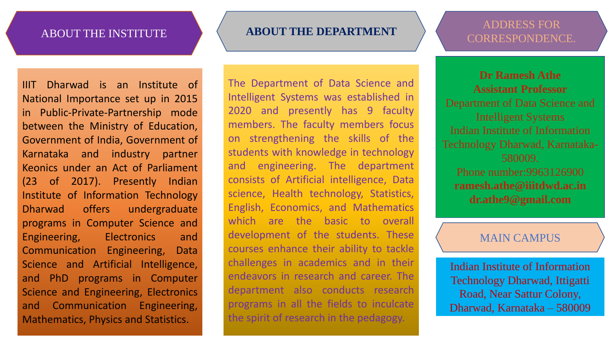IIIT Dharwad is an Institute of National Importance set up in 2015 in Public-Private-Partnership mode between the Ministry of Education, Government of India, Government of Karnataka and industry partner Keonics under an Act of Parliament (23 of 2017). Presently Indian Institute of Information Technology Dharwad offers undergraduate programs in Computer Science and Engineering, Electronics and Communication Engineering, Data Science and Artificial Intelligence, and PhD programs in Computer Science and Engineering, Electronics and Communication Engineering, Mathematics, Physics and Statistics.

### ABOUT THE INSTITUTE **ABOUT THE DEPARTMENT**

The Department of Data Science and Intelligent Systems was established in 2020 and presently has 9 faculty members. The faculty members focus on strengthening the skills of the students with knowledge in technology and engineering. The department consists of Artificial intelligence, Data science, Health technology, Statistics, English, Economics, and Mathematics which are the basic to overall development of the students. These courses enhance their ability to tackle challenges in academics and in their endeavors in research and career. The department also conducts research programs in all the fields to inculcate the spirit of research in the pedagogy.

# ADDRESS FOR CORRESPONDENCE.

**Dr Ramesh Athe Assistant Professor** Department of Data Science and Intelligent Systems Indian Institute of Information Technology Dharwad, Karnataka-580009. Phone number:9963126900 **ramesh.athe@iiitdwd.ac.in dr.athe9@gmail.com**

### MAIN CAMPUS

Indian Institute of Information Technology Dharwad, Ittigatti Road, Near Sattur Colony, Dharwad, Karnataka – 580009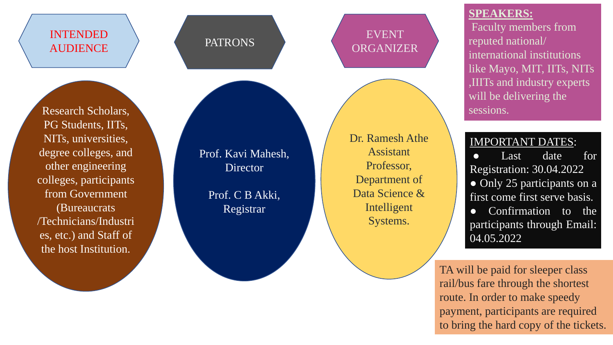# INTENDED AUDIENCE PATRONS

Research Scholars, PG Students, IITs, NITs, universities, degree colleges, and other engineering colleges, participants from Government (Bureaucrats /Technicians/Industri es, etc.) and Staff of the host Institution.

# EVENT **ORGANIZER**

Prof. Kavi Mahesh, Director

> Prof. C B Akki, Registrar

Dr. Ramesh Athe Assistant Professor, Department of Data Science & Intelligent Systems.

### **SPEAKERS:**

Faculty members from reputed national/ international institutions like Mayo, MIT, IITs, NITs ,IIITs and industry experts will be delivering the sessions.

## IMPORTANT DATES:

● Last date for Registration: 30.04.2022 • Only 25 participants on a first come first serve basis. ● Confirmation to the participants through Email: 04.05.2022

TA will be paid for sleeper class rail/bus fare through the shortest route. In order to make speedy payment, participants are required to bring the hard copy of the tickets.